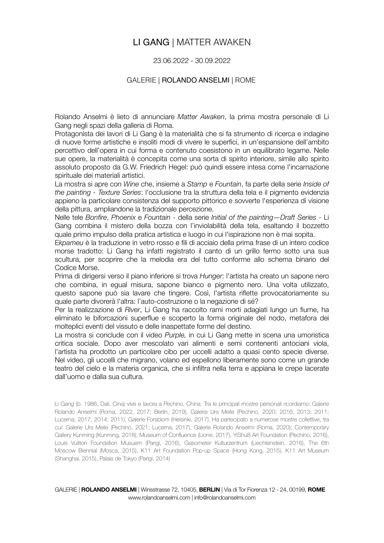# LI GANG | MATTER AWAKEN

### 23.06.2022 - 30.09.2022

### GALERIE | ROLANDO ANSELMI | ROME

Rolando Anselmi è lieto di annunciare *Matter Awaken*, la prima mostra personale di Li Gang negli spazi della galleria di Roma.

Protagonista dei lavori di Li Gang è la materialità che si fa strumento di ricerca e indagine di nuove forme artistiche e insoliti modi di vivere le superfici, in un'espansione dell'ambito percettivo dell'opera in cui forma e contenuto coesistono in un equilibrato legame. Nelle sue opere, la materialità è concepita come una sorta di spirito interiore, simile allo spirito assoluto proposto da G.W. Friedrich Hegel: può quindi essere intesa come l'incarnazione spirituale dei materiali artistici.

La mostra si apre con *Wine* che, insieme a *Stamp* e *Fountain*, fa parte della serie *Inside of the painting - Texture Series*: l'occlusione tra la struttura della tela e il pigmento evidenzia appieno la particolare consistenza del supporto pittorico e sovverte l'esperienza di visione della pittura, ampliandone la tradizionale percezione.

Nelle tele *Bonfire*, *Phoenix* e *Fountain* - della serie *Initial of the painting—Draft Series* - Li Gang combina il mistero della bozza con l'inviolabilità della tela, esaltando il bozzetto quale primo impulso della pratica artistica e luogo in cui l'ispirazione non è mai sopita.

E*kpameu* è la traduzione in vetro rosso e fili di acciaio della prima frase di un intero codice morse tradotto: Li Gang ha infatti registrato il canto di un grillo fermo sotto una sua scultura, per scoprire che la melodia era del tutto conforme allo schema binario del Codice Morse.

Prima di dirigersi verso il piano inferiore si trova *Hunger*: l'artista ha creato un sapone nero che combina, in egual misura, sapone bianco e pigmento nero. Una volta utilizzato, questo sapone può sia lavare che tingere. Così, l'artista riflette provocatoriamente su quale parte divorerà l'altra: l'auto-costruzione o la negazione di sé?

Per la realizzazione di *River*, Li Gang ha raccolto rami morti adagiati lungo un fiume, ha eliminato le biforcazioni superflue e scoperto la forma originale del nodo, metafora dei molteplici eventi del vissuto e delle inaspettate forme del destino.

La mostra si conclude con il video *Purple,* in cui Li Gang mette in scena una umoristica critica sociale. Dopo aver mescolato vari alimenti e semi contenenti antociani viola, l'artista ha prodotto un particolare cibo per uccelli adatto a quasi cento specie diverse. Nel video, gli uccelli che migrano, volano ed espellono liberamente sono come un grande teatro del cielo e la materia organica, che si infiltra nella terra e appiana le crepe lacerate dall'uomo e dalla sua cultura.

Li Gang (b. 1986, Dali, Cina) vive e lavora a Pechino, China. Tra le principali mostre personali ricordiamo: Galerie Rolando Anselmi (Roma, 2022, 2017; Berlin, 2019), Galerie Urs Meile (Pechino, 2020; 2016; 2013; 2011; Lucerna, 2017; 2014; 2011), Galerie Forsblom (Helsinki, 2017). Ha partecipato a numerose mostre collettive, tra cui: Galerie Urs Meile (Pechino, 2021; Lucerna, 2017), Galerie Rolando Anselmi (Roma, 2020); Contemporary Gallery Kunming (Kunming, 2018), Museum of Confluence (Lione, 2017), YiShu8 Art Foundation (Pechino, 2016), Louis Vuitton Foundation Musuem (Parigi, 2016), Gasometer Kulturzentrum (Liechtenstein, 2016), The 6th Moscow Biennial (Mosca, 2015), K11 Art Foundation Pop-up Space (Hong Kong, 2015), K11 Art Museum (Shanghai, 2015), Palais de Tokyo (Parigi, 2014)

GALERIE | **ROLANDO ANSELMI** | Winsstrasse 72, 10405, **BERLIN** | Via di Tor Fiorenza 12 - 24, 00199, **ROME**  www.rolandoanselmi.com | info@rolandoanselmi.com